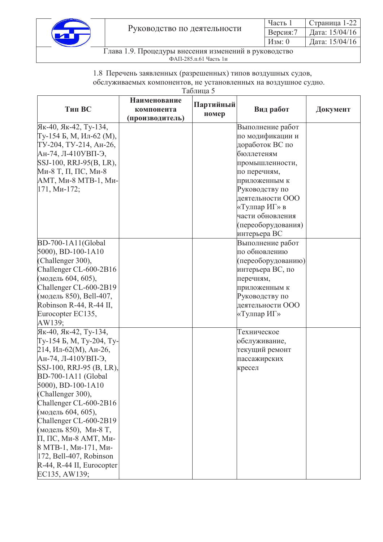

1.8 Перечень заявленных (разрешенных) типов воздушных судов, обслуживаемых компонентов, не установленных на воздушное судно.

Таблица 5

| Тип ВС                    | <b>Наименование</b><br>компонента | Партийный | Вид работ          | Документ |
|---------------------------|-----------------------------------|-----------|--------------------|----------|
|                           | (производитель)                   | номер     |                    |          |
| Як-40, Як-42, Ту-134,     |                                   |           | Выполнение работ   |          |
| Ту-154 Б, М, Ил-62 (М),   |                                   |           | по модификации и   |          |
| ТУ-204, ТУ-214, Ан-26,    |                                   |           | доработок ВС по    |          |
| $AH$ -74, Л-410УВП-Э,     |                                   |           | бюллетеням         |          |
| SSJ-100, RRJ-95(B, LR),   |                                   |           | промышленности,    |          |
| Ми-8 Т, П, ПС, Ми-8       |                                   |           | по перечням,       |          |
| АМТ, Ми-8 МТВ-1, Ми-      |                                   |           | приложенным к      |          |
| 171, Ми-172;              |                                   |           | Руководству по     |          |
|                           |                                   |           | деятельности ООО   |          |
|                           |                                   |           | «Тулпар ИГ» в      |          |
|                           |                                   |           | части обновления   |          |
|                           |                                   |           | (переоборудования) |          |
|                           |                                   |           | интерьера ВС       |          |
| BD-700-1A11(Global        |                                   |           | Выполнение работ   |          |
| $5000$ , BD-100-1A10      |                                   |           | по обновлению      |          |
| (Challenger 300),         |                                   |           | (переоборудованию) |          |
| Challenger CL-600-2B16    |                                   |           | интерьера ВС, по   |          |
| (модель 604, 605),        |                                   |           | перечням,          |          |
| Challenger CL-600-2B19    |                                   |           | приложенным к      |          |
| (модель 850), Bell-407,   |                                   |           | Руководству по     |          |
| Robinson R-44, R-44 II,   |                                   |           | деятельности ООО   |          |
| Eurocopter EC135,         |                                   |           | «Тулпар ИГ»        |          |
| AW139;                    |                                   |           |                    |          |
| Як-40, Як-42, Ту-134,     |                                   |           | Техническое        |          |
| Ту-154 Б, М, Ту-204, Ту-  |                                   |           | обслуживание,      |          |
| $214, MII$ -62(М), Ан-26, |                                   |           | текущий ремонт     |          |
| Ан-74, Л-410УВП-Э,        |                                   |           | пассажирских       |          |
| SSJ-100, RRJ-95 (B, LR),  |                                   |           | кресел             |          |
| BD-700-1A11 (Global       |                                   |           |                    |          |
| $[5000]$ , BD-100-1A10    |                                   |           |                    |          |
| (Challenger 300),         |                                   |           |                    |          |
| Challenger CL-600-2B16    |                                   |           |                    |          |
| (модель 604, 605),        |                                   |           |                    |          |
| Challenger CL-600-2B19    |                                   |           |                    |          |
| (модель 850), Ми-8 Т,     |                                   |           |                    |          |
| П, ПС, Ми-8 АМТ, Ми-      |                                   |           |                    |          |
| 8 МТВ-1, Ми-171, Ми-      |                                   |           |                    |          |
| 172, Bell-407, Robinson   |                                   |           |                    |          |
| R-44, R-44 II, Eurocopter |                                   |           |                    |          |
| EC135, AW139;             |                                   |           |                    |          |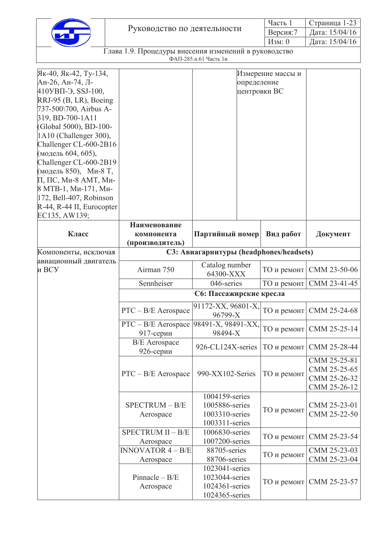|                             | часть   | Страница 1-2?       |
|-----------------------------|---------|---------------------|
| Руководство по деятельности | Версия: | 15/04/16<br>Дата: 1 |
|                             | Изм:    | Дата: 15/04/16      |

| Як-40, Як-42, Ту-134,<br>Ан-26, Ан-74, Л-<br>410УВП-Э, SSJ-100,<br>RRJ-95 (B, LR), Boeing<br>737-500\700, Airbus A-<br>319, BD-700-1A11<br>(Global 5000), BD-100-<br>1A10 (Challenger 300),<br>Challenger CL-600-2B16<br>(модель 604, 605),<br>Challenger CL-600-2B19<br>(модель 850), Ми-8 Т,<br>П, ПС, Ми-8 АМТ, Ми-<br>8 МТВ-1, Ми-171, Ми-<br>$ 172,$ Bell-407, Robinson<br>R-44, R-44 II, Eurocopter<br>EC135, AW139; |                                                          | определение                                                          | Измерение массы и<br>центровки ВС |                                                              |
|----------------------------------------------------------------------------------------------------------------------------------------------------------------------------------------------------------------------------------------------------------------------------------------------------------------------------------------------------------------------------------------------------------------------------|----------------------------------------------------------|----------------------------------------------------------------------|-----------------------------------|--------------------------------------------------------------|
| Класс                                                                                                                                                                                                                                                                                                                                                                                                                      | Наименование<br>компонента<br>(производитель)            | Партийный номер                                                      | Вид работ                         | Документ                                                     |
| Компоненты, исключая                                                                                                                                                                                                                                                                                                                                                                                                       |                                                          | СЗ: Авиагарнитуры (headphones/headsets)                              |                                   |                                                              |
| авиационный двигатель<br>и ВСУ                                                                                                                                                                                                                                                                                                                                                                                             | Airman 750                                               | Catalog number<br>64300-XXX                                          | ТО и ремонт                       | CMM 23-50-06                                                 |
|                                                                                                                                                                                                                                                                                                                                                                                                                            | Sennheiser                                               | 046-series                                                           | ТО и ремонт                       | CMM 23-41-45                                                 |
|                                                                                                                                                                                                                                                                                                                                                                                                                            |                                                          | С6: Пассажирские кресла                                              |                                   |                                                              |
|                                                                                                                                                                                                                                                                                                                                                                                                                            | $PTC - B/E$ Aerospace                                    | $91172-XX, 96801-X,$<br>96799-X                                      | ТО и ремонт                       | CMM 25-24-68                                                 |
|                                                                                                                                                                                                                                                                                                                                                                                                                            | PTC - B/E Aerospace   98491-X, 98491-XX,<br>$917$ -серии | 98494-X                                                              | ТО и ремонт                       | CMM 25-25-14                                                 |
|                                                                                                                                                                                                                                                                                                                                                                                                                            | <b>B/E</b> Aerospace<br>926-серии                        | 926-CL124X-series                                                    | ТО и ремонт                       | CMM 25-28-44                                                 |
|                                                                                                                                                                                                                                                                                                                                                                                                                            | $PTC - B/E$ Aerospace                                    | 990-XX102-Series                                                     | ТО и ремонт                       | CMM 25-25-81<br>CMM 25-25-65<br>CMM 25-26-32<br>CMM 25-26-12 |
|                                                                                                                                                                                                                                                                                                                                                                                                                            | SPECTRUM - B/E<br>Aerospace                              | 1004159-series<br>1005886-series<br>1003310-series<br>1003311-series | ТО и ремонт                       | CMM 25-23-01<br>CMM 25-22-50                                 |
|                                                                                                                                                                                                                                                                                                                                                                                                                            | SPECTRUM II - B/E<br>Aerospace                           | 1006830-series<br>1007200-series                                     | ТО и ремонт                       | CMM 25-23-54                                                 |
|                                                                                                                                                                                                                                                                                                                                                                                                                            | <b>INNOVATOR 4 - B/E</b><br>Aerospace                    | 88705-series<br>88706-series                                         | ТО и ремонт                       | CMM 25-23-03<br>CMM 25-23-04                                 |
|                                                                                                                                                                                                                                                                                                                                                                                                                            | Pinnacle $- B/E$<br>Aerospace                            | 1023041-series<br>1023044-series<br>1024361-series<br>1024365-series | ТО и ремонт                       | CMM 25-23-57                                                 |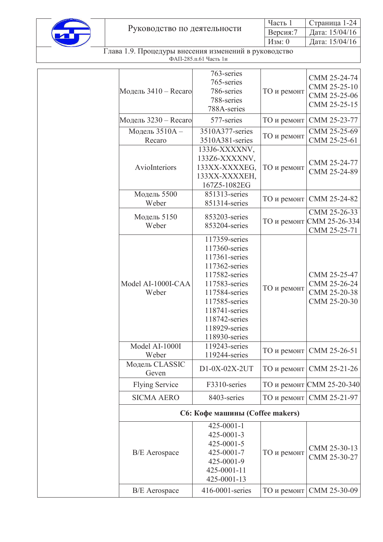

|                             | Часть 1 | $C$ траница 1-24            |
|-----------------------------|---------|-----------------------------|
| Руководство по деятельности |         | Версия:7   Дата: $15/04/16$ |
|                             | Изм: 0  | Дата: $15/04/16$            |

| Модель $3410 -$ Recaro      | 763-series<br>765-series<br>786-series<br>788-series<br>788A-series                                                                                                                                      | ТО и ремонт | CMM 25-24-74<br>CMM 25-25-10<br>CMM 25-25-06<br>CMM 25-25-15 |
|-----------------------------|----------------------------------------------------------------------------------------------------------------------------------------------------------------------------------------------------------|-------------|--------------------------------------------------------------|
| Модель 3230 - Recaro        | 577-series                                                                                                                                                                                               | ТО и ремонт | CMM 25-23-77                                                 |
| Модель 3510А -              | 3510A377-series                                                                                                                                                                                          |             | CMM 25-25-69                                                 |
| Recaro                      | 3510A381-series                                                                                                                                                                                          | ТО и ремонт | CMM 25-25-61                                                 |
| AvioInteriors               | 133J6-XXXXNV,<br>133Z6-XXXXNV,<br>133XX-XXXXEG,<br>133XX-XXXXEH,<br>167Z5-1082EG                                                                                                                         | ТО и ремонт | CMM 25-24-77<br>CMM 25-24-89                                 |
| Модель 5500                 | 851313-series                                                                                                                                                                                            |             |                                                              |
| Weber                       | 851314-series                                                                                                                                                                                            | ТО и ремонт | CMM 25-24-82                                                 |
| Модель 5150<br>Weber        | 853203-series<br>853204-series                                                                                                                                                                           |             | CMM 25-26-33<br>ТО и ремонт СММ 25-26-334<br>CMM 25-25-71    |
| Model AI-1000I-CAA<br>Weber | 117359-series<br>117360-series<br>117361-series<br>117362-series<br>117582-series<br>117583-series<br>117584-series<br>117585-series<br>118741-series<br>118742-series<br>118929-series<br>118930-series | ТО и ремонт | CMM 25-25-47<br>CMM 25-26-24<br>CMM 25-20-38<br>CMM 25-20-30 |
| Model AI-1000I<br>Weber     | 119243-series<br>119244-series                                                                                                                                                                           |             | ТО и ремонт   СММ 25-26-51                                   |
| Модель CLASSIC<br>Geven     | D1-0X-02X-2UT                                                                                                                                                                                            | ТО и ремонт | CMM 25-21-26                                                 |
| <b>Flying Service</b>       | F3310-series                                                                                                                                                                                             |             | ТО и ремонт СММ 25-20-340                                    |
| <b>SICMA AERO</b>           | 8403-series                                                                                                                                                                                              | ТО и ремонт | CMM 25-21-97                                                 |
|                             | С6: Кофе машины (Coffee makers)                                                                                                                                                                          |             |                                                              |
| <b>B/E</b> Aerospace        | $425 - 0001 - 1$<br>425-0001-3<br>425-0001-5<br>425-0001-7<br>425-0001-9<br>425-0001-11<br>425-0001-13                                                                                                   | ТО и ремонт | CMM 25-30-13<br>CMM 25-30-27                                 |
| <b>B/E</b> Aerospace        | 416-0001-series                                                                                                                                                                                          | ТО и ремонт | CMM 25-30-09                                                 |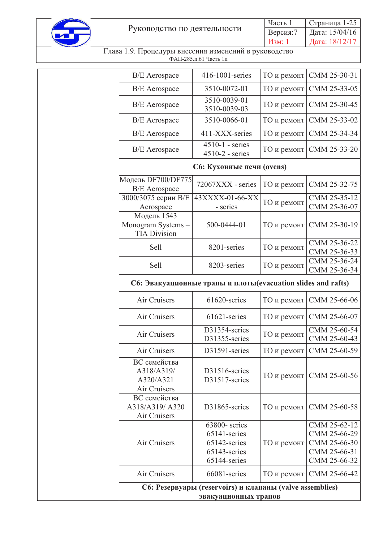

|                             | Часть 1                   | $C$ траница 1-25 |
|-----------------------------|---------------------------|------------------|
| Руководство по деятельности | Версия:7   Дата: 15/04/16 |                  |
|                             | Изм: 1                    | Дата: 18/12/17   |

|                                                         | С6: Резервуары (reservoirs) и клапаны (valve assemblies)<br>эвакуационных трапов |             |                              |
|---------------------------------------------------------|----------------------------------------------------------------------------------|-------------|------------------------------|
| Air Cruisers                                            | 66081-series                                                                     | ТО и ремонт | CMM 25-66-42                 |
|                                                         | 65144-series                                                                     |             | CMM 25-66-32                 |
| Air Cruisers                                            | 65142-series<br>65143-series                                                     | ТО и ремонт | CMM 25-66-30<br>CMM 25-66-31 |
|                                                         | 65141-series                                                                     |             | CMM 25-66-29                 |
| A318/A319/A320<br>Air Cruisers                          | D31865-series<br>63800-series                                                    | ТО и ремонт | CMM 25-60-58<br>CMM 25-62-12 |
| Air Cruisers<br>ВС семейства                            |                                                                                  |             |                              |
| ВС семейства<br>A318/A319/<br>A320/A321                 | D31516-series<br>D31517-series                                                   | ТО и ремонт | CMM 25-60-56                 |
| Air Cruisers                                            | D31591-series                                                                    | ТО и ремонт | CMM 25-60-59                 |
| Air Cruisers                                            | D31354-series<br>D31355-series                                                   | ТО и ремонт | CMM 25-60-54<br>CMM 25-60-43 |
| Air Cruisers                                            | 61621-series                                                                     | ТО и ремонт | CMM 25-66-07                 |
| Air Cruisers                                            | 61620-series                                                                     | ТО и ремонт | CMM 25-66-06                 |
|                                                         | С6: Эвакуационные трапы и плоты(evacuation slides and rafts)                     |             |                              |
| Sell                                                    | 8203-series                                                                      | ТО и ремонт | CMM 25-36-24<br>CMM 25-36-34 |
| Sell                                                    | 8201-series                                                                      | ТО и ремонт | CMM 25-36-22<br>CMM 25-36-33 |
| Модель 1543<br>Monogram Systems-<br><b>TIA Division</b> | 500-0444-01                                                                      | ТО и ремонт | CMM 25-30-19                 |
| 3000/3075 серии В/Е<br>Aerospace                        | 43XXXX-01-66-XX<br>- series                                                      | ТО и ремонт | CMM 25-35-12<br>CMM 25-36-07 |
| Модель DF700/DF775<br><b>B/E</b> Aerospace              | 72067XXX - series                                                                | ТО и ремонт | CMM 25-32-75                 |
|                                                         | С6: Кухонные печи (ovens)                                                        |             |                              |
| <b>B/E</b> Aerospace                                    | $4510-1$ - series<br>$4510-2$ - series                                           | ТО и ремонт | CMM 25-33-20                 |
| <b>B/E</b> Aerospace                                    | 411-XXX-series                                                                   | ТО и ремонт | CMM 25-34-34                 |
| <b>B/E</b> Aerospace                                    | 3510-0066-01                                                                     | ТО и ремонт | CMM 25-33-02                 |
| <b>B/E</b> Aerospace                                    | 3510-0039-01<br>3510-0039-03                                                     | ТО и ремонт | CMM 25-30-45                 |
| <b>B/E</b> Aerospace                                    | 3510-0072-01                                                                     | ТО и ремонт | CMM 25-33-05                 |
| <b>B/E</b> Aerospace                                    | 416-1001-series                                                                  | ТО и ремонт | CMM 25-30-31                 |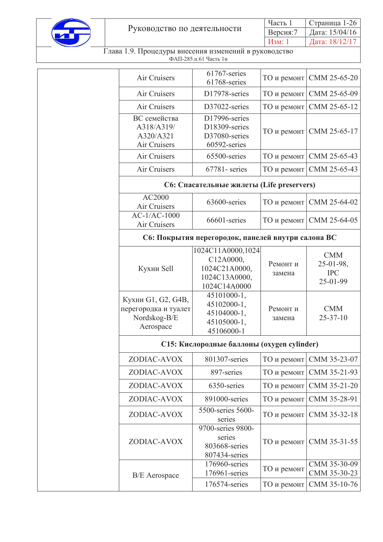

|                             | Часть 1 | $C$ траница 1-26          |
|-----------------------------|---------|---------------------------|
| Руководство по деятельности |         | Версия:7   Дата: 15/04/16 |
|                             | Изм: 1  | Дата: $18/12/17$          |

| Air Cruisers                                                            | 61767-series<br>61768-series                                                     | ТО и ремонт        | CMM 25-65-20                                      |
|-------------------------------------------------------------------------|----------------------------------------------------------------------------------|--------------------|---------------------------------------------------|
| Air Cruisers                                                            | D17978-series                                                                    | ТО и ремонт        | CMM 25-65-09                                      |
| Air Cruisers                                                            | D37022-series                                                                    | ТО и ремонт        | CMM 25-65-12                                      |
| ВС семейства<br>A318/A319/<br>A320/A321<br>Air Cruisers                 | D17996-series<br>D18309-series<br>D37080-series<br>60592-series                  |                    | ТО и ремонт СММ 25-65-17                          |
| Air Cruisers                                                            | 65500-series                                                                     | ТО и ремонт        | CMM 25-65-43                                      |
| Air Cruisers                                                            | 67781-series                                                                     | ТО и ремонт        | CMM 25-65-43                                      |
|                                                                         | С6: Спасательные жилеты (Life preservers)                                        |                    |                                                   |
| AC2000<br>Air Cruisers                                                  | 63600-series                                                                     | ТО и ремонт        | CMM 25-64-02                                      |
| $AC-1/AC-1000$<br>Air Cruisers                                          | 66601-series                                                                     |                    | ТО и ремонт СММ 25-64-05                          |
|                                                                         | С6: Покрытия перегородок, панелей внутри салона ВС                               |                    |                                                   |
| Кухни Sell                                                              | 1024C11A0000,1024<br>C12A0000,<br>1024C21A0000,<br>1024C13A0000,<br>1024C14A0000 | Ремонт и<br>замена | <b>CMM</b><br>25-01-98,<br><b>IPC</b><br>25-01-99 |
| Кухни G1, G2, G4B,<br>перегородка и туалет<br>Nordskog-B/E<br>Aerospace | 45101000-1,<br>45102000-1,<br>45104000-1,<br>45105000-1,<br>45106000-1           | Ремонт и<br>замена | <b>CMM</b><br>$25 - 37 - 10$                      |
|                                                                         | С15: Кислородные баллоны (охудеп cylinder)                                       |                    |                                                   |
| ZODIAC-AVOX                                                             | 801307-series                                                                    | ТО и ремонт        | CMM 35-23-07                                      |
| ZODIAC-AVOX                                                             | 897-series                                                                       | ТО и ремонт        | CMM 35-21-93                                      |
| ZODIAC-AVOX                                                             | 6350-series                                                                      | ТО и ремонт        | CMM 35-21-20                                      |
| ZODIAC-AVOX                                                             | 891000-series                                                                    | ТО и ремонт        | CMM 35-28-91                                      |
| ZODIAC-AVOX                                                             | 5500-series 5600-<br>series                                                      | ТО и ремонт        | CMM 35-32-18                                      |
| ZODIAC-AVOX                                                             | 9700-series 9800-<br>series<br>803668-series<br>807434-series                    | ТО и ремонт        | CMM 35-31-55                                      |
| <b>B/E</b> Aerospace                                                    | 176960-series<br>176961-series                                                   | ТО и ремонт        | CMM 35-30-09<br>CMM 35-30-23                      |
|                                                                         | 176574-series                                                                    | ТО и ремонт        | CMM 35-10-76                                      |